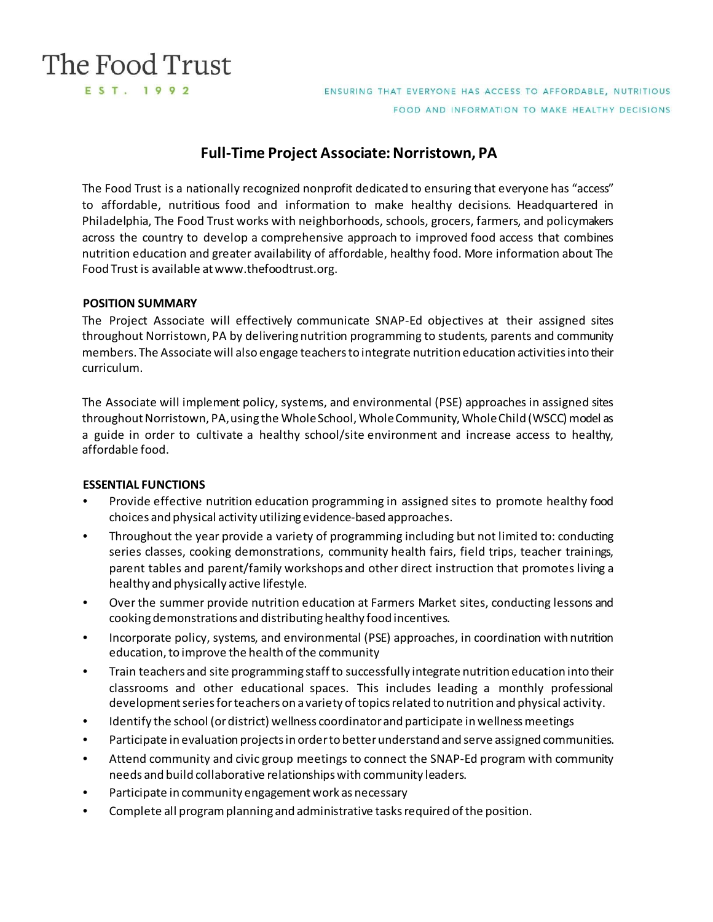# The Food Trust EST. 1992

ENSURING THAT EVERYONE HAS ACCESS TO AFFORDABLE, NUTRITIOUS FOOD AND INFORMATION TO MAKE HEALTHY DECISIONS

# **Full-Time Project Associate: Norristown, PA**

The Food Trust is a nationally recognized nonprofit dedicated to ensuring that everyone has "access" to affordable, nutritious food and information to make healthy decisions. Headquartered in Philadelphia, The Food Trust works with neighborhoods, schools, grocers, farmers, and policymakers across the country to develop a comprehensive approach to improved food access that combines nutrition education and greater availability of affordable, healthy food. More information about The Food Trust is available a[t www.thefoodtrust.org.](http://www.thefoodtrust.org/)

# **POSITION SUMMARY**

The Project Associate will effectively communicate SNAP-Ed objectives at their assigned sites throughout Norristown, PA by delivering nutrition programming to students, parents and community members. The Associate will also engage teachers to integrate nutrition education activities into their curriculum.

The Associate will implement policy, systems, and environmental (PSE) approaches in assigned sites throughout Norristown, PA, using the Whole School, Whole Community, Whole Child (WSCC) model as a guide in order to cultivate a healthy school/site environment and increase access to healthy, affordable food.

# **ESSENTIAL FUNCTIONS**

- Provide effective nutrition education programming in assigned sites to promote healthy food choices and physical activity utilizing evidence-based approaches.
- Throughout the year provide a variety of programming including but not limited to: conducting series classes, cooking demonstrations, community health fairs, field trips, teacher trainings, parent tables and parent/family workshops and other direct instruction that promotes living a healthy and physically active lifestyle.
- Over the summer provide nutrition education at Farmers Market sites, conducting lessons and cooking demonstrations and distributing healthy food incentives.
- Incorporate policy, systems, and environmental (PSE) approaches, in coordination with nutrition education, to improve the health of the community
- Train teachers and site programming staff to successfully integrate nutrition education into their classrooms and other educational spaces. This includes leading a monthly professional development series for teachers on a variety of topics related to nutrition and physical activity.
- Identify the school (or district) wellness coordinator and participate in wellness meetings
- Participate in evaluation projects in order to better understand and serve assigned communities.
- Attend community and civic group meetings to connect the SNAP-Ed program with community needs and build collaborative relationships with community leaders.
- Participate in community engagement work as necessary
- Complete all program planning and administrative tasks required of the position.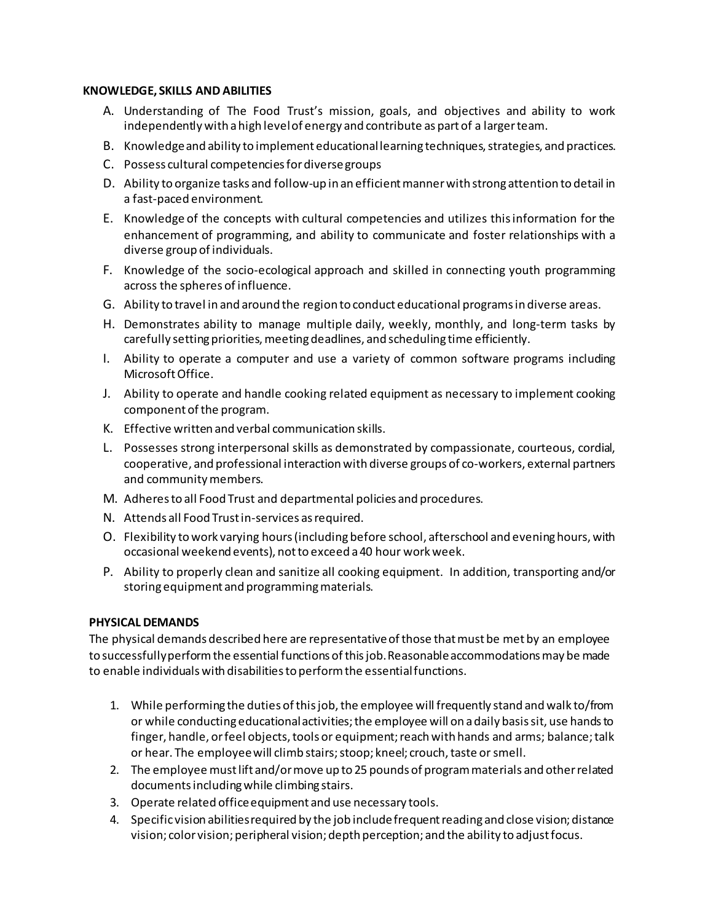#### **KNOWLEDGE, SKILLS AND ABILITIES**

- A. Understanding of The Food Trust's mission, goals, and objectives and ability to work independently with a high level of energy and contribute as part of a larger team.
- B. Knowledge and ability to implement educational learning techniques, strategies, and practices.
- C. Possess cultural competencies for diverse groups
- D. Ability to organize tasks and follow-up in an efficient mannerwith strong attention to detail in a fast-paced environment.
- E. Knowledge of the concepts with cultural competencies and utilizes this information for the enhancement of programming, and ability to communicate and foster relationships with a diverse group of individuals.
- F. Knowledge of the socio-ecological approach and skilled in connecting youth programming across the spheres of influence.
- G. Ability to travel in and around the region to conduct educational programs in diverse areas.
- H. Demonstrates ability to manage multiple daily, weekly, monthly, and long-term tasks by carefully setting priorities, meeting deadlines, and scheduling time efficiently.
- I. Ability to operate a computer and use a variety of common software programs including Microsoft Office.
- J. Ability to operate and handle cooking related equipment as necessary to implement cooking component of the program.
- K. Effective written and verbal communication skills.
- L. Possesses strong interpersonal skills as demonstrated by compassionate, courteous, cordial, cooperative, and professional interaction with diverse groups of co-workers, external partners and community members.
- M. Adheres to all Food Trust and departmental policies and procedures.
- N. Attends all Food Trust in-services as required.
- O. Flexibility to work varying hours (including before school, afterschool and evening hours, with occasional weekend events), not to exceed a 40 hour work week.
- P. Ability to properly clean and sanitize all cooking equipment. In addition, transporting and/or storing equipment and programming materials.

# **PHYSICAL DEMANDS**

The physical demands described here are representative of those that must be met by an employee to successfully perform the essential functions of this job. Reasonable accommodations may be made to enable individuals with disabilities to perform the essential functions.

- 1. While performing the duties of this job, the employee will frequently stand and walk to/from or while conducting educational activities; the employee will on a daily basis sit, use hands to finger, handle, or feel objects, tools or equipment; reach with hands and arms; balance; talk or hear. The employee will climb stairs; stoop; kneel; crouch, taste or smell.
- 2. The employee must lift and/or move up to 25 pounds of program materials and other related documents including while climbing stairs.
- 3. Operate related office equipment and use necessary tools.
- 4. Specific vision abilities required by the job include frequent reading and close vision; distance vision; color vision; peripheral vision; depth perception; and the ability to adjust focus.